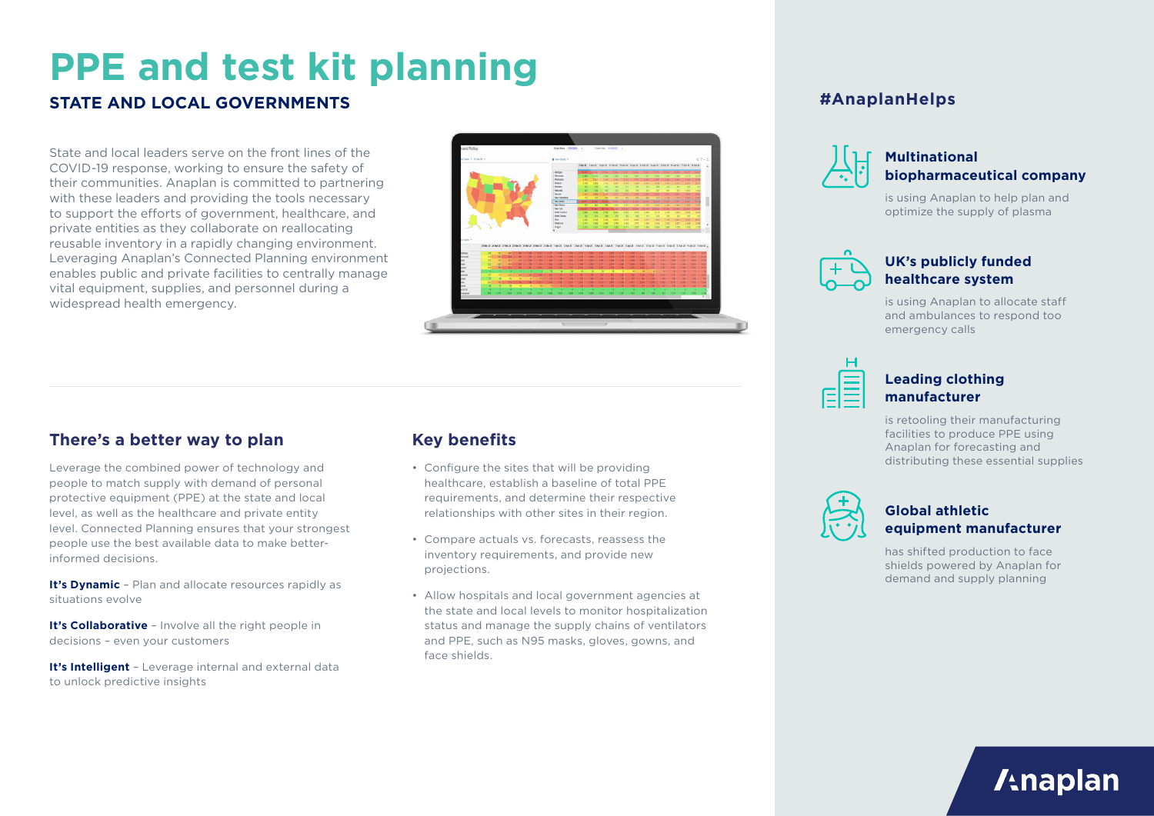# **PPE and test kit planning**

## **STATE AND LOCAL GOVERNMENTS**

State and local leaders serve on the front lines of the COVID-19 response, working to ensure the safety of their communities. Anaplan is committed to partnering with these leaders and providing the tools necessary to support the efforts of government, healthcare, and private entities as they collaborate on reallocating reusable inventory in a rapidly changing environment. Leveraging Anaplan's Connected Planning environment enables public and private facilities to centrally manage vital equipment, supplies, and personnel during a widespread health emergency.



## **There's a better way to plan**

Leverage the combined power of technology and people to match supply with demand of personal protective equipment (PPE) at the state and local level, as well as the healthcare and private entity level. Connected Planning ensures that your strongest people use the best available data to make betterinformed decisions.

**It's Dynamic** - Plan and allocate resources rapidly as situations evolve

**It's Collaborative** – Involve all the right people in decisions – even your customers

**It's Intelligent** - Leverage internal and external data to unlock predictive insights

## **Key benefits**

- Configure the sites that will be providing healthcare, establish a baseline of total PPE requirements, and determine their respective relationships with other sites in their region.
- Compare actuals vs. forecasts, reassess the inventory requirements, and provide new projections.
- Allow hospitals and local government agencies at the state and local levels to monitor hospitalization status and manage the supply chains of ventilators and PPE, such as N95 masks, gloves, gowns, and face shields.

## **#AnaplanHelps**



### **Multinational biopharmaceutical company**

is using Anaplan to help plan and optimize the supply of plasma



## **UK's publicly funded healthcare system**

is using Anaplan to allocate staff and ambulances to respond too emergency calls



## **Leading clothing manufacturer**

is retooling their manufacturing facilities to produce PPE using Anaplan for forecasting and distributing these essential supplies



## **Global athletic equipment manufacturer**

has shifted production to face shields powered by Anaplan for demand and supply planning

**/tnaplan**